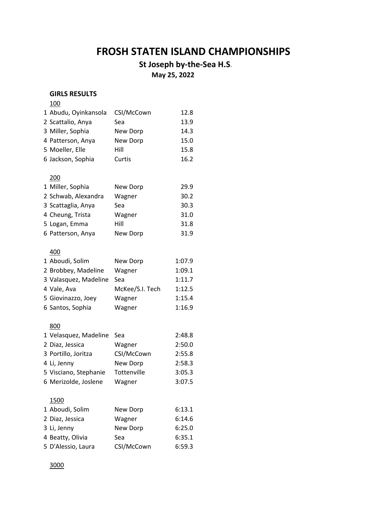# **FROSH STATEN ISLAND CHAMPIONSHIPS**

# **St Joseph by-the-Sea H.S.**

 **May 25, 2022**

## **GIRLS RESULTS**

#### 

| 1 Abudu, Oyinkansola<br>2 Scattalio, Anya<br>3 Miller, Sophia<br>4 Patterson, Anya<br>5 Moeller, Elle<br>6 Jackson, Sophia | CSI/McCown<br>Sea<br>New Dorp<br>New Dorp<br>Hill<br>Curtis | 12.8<br>13.9<br>14.3<br>15.0<br>15.8<br>16.2 |
|----------------------------------------------------------------------------------------------------------------------------|-------------------------------------------------------------|----------------------------------------------|
|                                                                                                                            |                                                             |                                              |
| 200                                                                                                                        |                                                             |                                              |
| 1 Miller, Sophia                                                                                                           | New Dorp                                                    | 29.9                                         |
| 2 Schwab, Alexandra                                                                                                        | Wagner                                                      | 30.2                                         |
| 3 Scattaglia, Anya                                                                                                         | Sea                                                         | 30.3                                         |
| 4 Cheung, Trista                                                                                                           | Wagner                                                      | 31.0                                         |
| 5 Logan, Emma                                                                                                              | Hill                                                        | 31.8                                         |
| 6 Patterson, Anya                                                                                                          | New Dorp                                                    | 31.9                                         |
|                                                                                                                            |                                                             |                                              |
| 400                                                                                                                        |                                                             |                                              |
| 1 Aboudi, Solim                                                                                                            | New Dorp                                                    | 1:07.9                                       |
| 2 Brobbey, Madeline                                                                                                        | Wagner                                                      | 1:09.1                                       |
| 3 Valasquez, Madeline                                                                                                      | Sea                                                         | 1:11.7                                       |
| 4 Vale, Ava                                                                                                                | McKee/S.I. Tech                                             | 1:12.5                                       |
| 5 Giovinazzo, Joey                                                                                                         | Wagner                                                      | 1:15.4                                       |
| 6 Santos, Sophia                                                                                                           | Wagner                                                      | 1:16.9                                       |
| 800                                                                                                                        |                                                             |                                              |
| 1 Velasquez, Madeline                                                                                                      | Sea                                                         | 2:48.8                                       |
| 2 Diaz, Jessica                                                                                                            | Wagner                                                      | 2:50.0                                       |
| 3 Portillo, Joritza                                                                                                        | CSI/McCown                                                  | 2:55.8                                       |
| 4 Li, Jenny                                                                                                                | New Dorp                                                    | 2:58.3                                       |
| 5 Visciano, Stephanie                                                                                                      | Tottenville                                                 | 3:05.3                                       |
| 6 Merizolde, Joslene                                                                                                       | Wagner                                                      | 3:07.5                                       |
| 1500                                                                                                                       |                                                             |                                              |
| 1 Aboudi, Solim                                                                                                            | New Dorp                                                    | 6:13.1                                       |
|                                                                                                                            |                                                             |                                              |

| 2 Diaz, Jessica    | Wagner     | 6:14.6 |
|--------------------|------------|--------|
| 3 Li, Jenny        | New Dorp   | 6:25.0 |
| 4 Beatty, Olivia   | Sea        | 6:35.1 |
| 5 D'Alessio, Laura | CSI/McCown | 6:59.3 |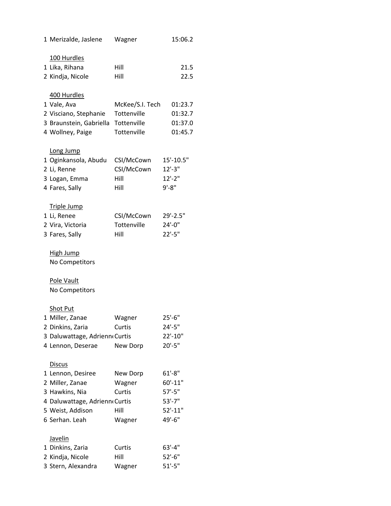| 1 Merizalde, Jaslene          | Wagner          | 15:06.2     |
|-------------------------------|-----------------|-------------|
| 100 Hurdles                   |                 |             |
| 1 Lika, Rihana                | Hill            | 21.5        |
| 2 Kindja, Nicole              | Hill            | 22.5        |
|                               |                 |             |
| 400 Hurdles                   |                 |             |
| 1 Vale, Ava                   | McKee/S.I. Tech | 01:23.7     |
| 2 Visciano, Stephanie         | Tottenville     | 01:32.7     |
| 3 Braunstein, Gabriella       | Tottenville     | 01:37.0     |
| 4 Wollney, Paige              | Tottenville     | 01:45.7     |
| Long Jump                     |                 |             |
| 1 Oginkansola, Abudu          | CSI/McCown      | 15'-10.5"   |
| 2 Li, Renne                   | CSI/McCown      | $12'-3''$   |
| 3 Logan, Emma                 | Hill            | $12'-2$ "   |
| 4 Fares, Sally                | Hill            | $9' - 8''$  |
| <b>Triple Jump</b>            |                 |             |
| 1 Li, Renee                   | CSI/McCown      | 29'-2.5"    |
| 2 Vira, Victoria              | Tottenville     | $24'-0''$   |
| 3 Fares, Sally                | Hill            | $22'-5"$    |
| <b>High Jump</b>              |                 |             |
| No Competitors                |                 |             |
| Pole Vault                    |                 |             |
| No Competitors                |                 |             |
|                               |                 |             |
| Shot Put                      |                 |             |
| 1 Miller, Zanae               | Wagner          | $25'-6''$   |
| 2 Dinkins, Zaria              | Curtis          | $24'-5''$   |
| 3 Daluwattage, Adrienn Curtis |                 | 22'-10"     |
| 4 Lennon, Deserae             | New Dorp        | $20' - 5"$  |
| <b>Discus</b>                 |                 |             |
| 1 Lennon, Desiree             | New Dorp        | $61' - 8''$ |
| 2 Miller, Zanae               | Wagner          | $60' - 11"$ |
| 3 Hawkins, Nia                | Curtis          | $57' - 5"$  |
| 4 Daluwattage, Adrienn Curtis |                 | $53' - 7"$  |
| 5 Weist, Addison              | Hill            | $52' - 11"$ |
| 6 Serhan. Leah                | Wagner          | 49'-6"      |
| <b>Javelin</b>                |                 |             |
| 1 Dinkins, Zaria              | Curtis          | $63' - 4"$  |
| 2 Kindja, Nicole              | Hill            | $52'-6''$   |
| 3 Stern, Alexandra            | Wagner          | $51' - 5"$  |
|                               |                 |             |